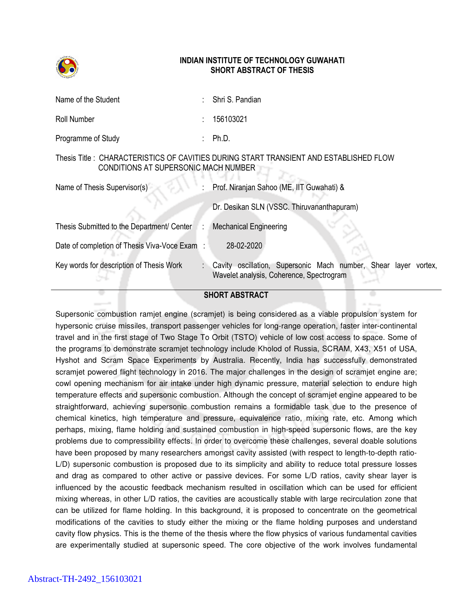

## INDIAN INSTITUTE OF TECHNOLOGY GUWAHATI SHORT ABSTRACT OF THESIS

| Name of the Student                           | Shri S. Pandian                                                                                                   |
|-----------------------------------------------|-------------------------------------------------------------------------------------------------------------------|
| Roll Number                                   | 156103021                                                                                                         |
| Programme of Study                            | Ph.D.                                                                                                             |
| CONDITIONS AT SUPERSONIC MACH NUMBER          | Thesis Title : CHARACTERISTICS OF CAVITIES DURING START TRANSIENT AND ESTABLISHED FLOW                            |
| Name of Thesis Supervisor(s)                  | Prof. Niranjan Sahoo (ME, IIT Guwahati) &                                                                         |
|                                               | Dr. Desikan SLN (VSSC. Thiruvananthapuram)                                                                        |
| Thesis Submitted to the Department/ Center    | <b>Mechanical Engineering</b>                                                                                     |
| Date of completion of Thesis Viva-Voce Exam : | 28-02-2020                                                                                                        |
| Key words for description of Thesis Work      | Cavity oscillation, Supersonic Mach number, Shear layer vortex,<br>÷.<br>Wavelet analysis, Coherence, Spectrogram |
|                                               |                                                                                                                   |

## SHORT ABSTRACT

Supersonic combustion ramjet engine (scramjet) is being considered as a viable propulsion system for hypersonic cruise missiles, transport passenger vehicles for long-range operation, faster inter-continental travel and in the first stage of Two Stage To Orbit (TSTO) vehicle of low cost access to space. Some of the programs to demonstrate scramjet technology include Kholod of Russia, SCRAM, X43, X51 of USA, Hyshot and Scram Space Experiments by Australia. Recently, India has successfully demonstrated scramjet powered flight technology in 2016. The major challenges in the design of scramjet engine are; cowl opening mechanism for air intake under high dynamic pressure, material selection to endure high temperature effects and supersonic combustion. Although the concept of scramjet engine appeared to be straightforward, achieving supersonic combustion remains a formidable task due to the presence of chemical kinetics, high temperature and pressure, equivalence ratio, mixing rate, etc. Among which perhaps, mixing, flame holding and sustained combustion in high-speed supersonic flows, are the key problems due to compressibility effects. In order to overcome these challenges, several doable solutions have been proposed by many researchers amongst cavity assisted (with respect to length-to-depth ratio-L/D) supersonic combustion is proposed due to its simplicity and ability to reduce total pressure losses and drag as compared to other active or passive devices. For some L/D ratios, cavity shear layer is influenced by the acoustic feedback mechanism resulted in oscillation which can be used for efficient mixing whereas, in other L/D ratios, the cavities are acoustically stable with large recirculation zone that can be utilized for flame holding. In this background, it is proposed to concentrate on the geometrical modifications of the cavities to study either the mixing or the flame holding purposes and understand cavity flow physics. This is the theme of the thesis where the flow physics of various fundamental cavities are experimentally studied at supersonic speed. The core objective of the work involves fundamental